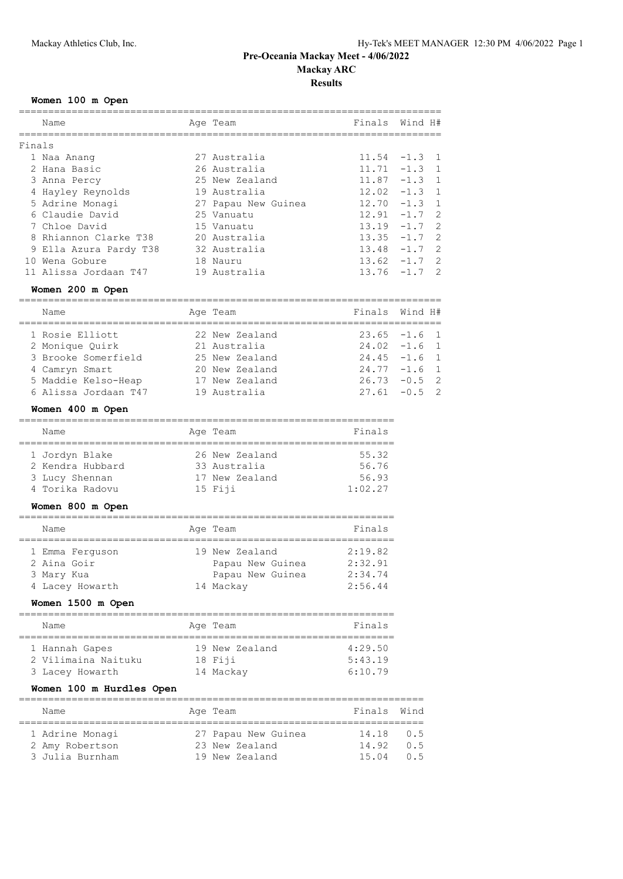## **Results**

## **Women 100 m Open**

|        | Name                                  | Age Team                       | Finals Wind H#  |         |                |
|--------|---------------------------------------|--------------------------------|-----------------|---------|----------------|
| Finals |                                       |                                |                 |         |                |
|        | 1 Naa Anang                           | 27 Australia                   | 11.54           | $-1.3$  | $\mathbf{1}$   |
|        | 2 Hana Basic                          | 26 Australia                   | $11.71 - 1.3$   |         | $\mathbf{1}$   |
|        | 3 Anna Percy                          | 25 New Zealand                 | $11.87 - 1.3$   |         | $\mathbf{1}$   |
|        | 4 Hayley Reynolds                     | 19 Australia                   | 12.02           | $-1.3$  | $\mathbf{1}$   |
|        | 5 Adrine Monagi                       | 27 Papau New Guinea            | $12.70 - 1.3$   |         | $\mathbf{1}$   |
|        | 6 Claudie David                       | 25 Vanuatu                     | $12.91 - 1.7$   |         | $\overline{2}$ |
|        | 7 Chloe David                         | 15 Vanuatu                     | $13.19 - 1.7$   |         | $\overline{2}$ |
|        | 8 Rhiannon Clarke T38 20 Australia    |                                | $13.35 - 1.7$   |         | $\overline{2}$ |
|        | 9 Ella Azura Pardy T38 32 Australia   |                                | 13.48           | $-1.7$  | $\overline{2}$ |
|        | 10 Wena Gobure                        | 18 Nauru                       | 13.62           | $-1.7$  | $\overline{2}$ |
|        | 11 Alissa Jordaan T47                 | 19 Australia                   | $13.76 - 1.7$   |         | 2              |
|        | Women 200 m Open                      |                                |                 |         |                |
|        | Name                                  | Age Team                       | Finals          | Wind H# |                |
|        | 1 Rosie Elliott                       | 22 New Zealand                 | $23.65 - 1.6$   |         | 1              |
|        | 2 Monique Quirk                       | 21 Australia                   | $24.02 -1.6$    |         | 1              |
|        |                                       | 25 New Zealand                 | $24.45 - 1.6$   |         | $\mathbf{1}$   |
|        | 3 Brooke Somerfield<br>4 Camryn Smart | 20 New Zealand                 | $24.77 - 1.6$ 1 |         |                |
|        | 5 Maddie Kelso-Heap 17 New Zealand    |                                | $26.73 - 0.5$   |         | 2              |
|        | 6 Alissa Jordaan T47                  | 19 Australia                   | $27.61 - 0.5$   |         | $\overline{2}$ |
|        | Women 400 m Open                      |                                |                 |         |                |
|        | Name                                  | Age Team                       | Finals          |         |                |
|        | 1 Jordyn Blake                        |                                | 55.32           |         |                |
|        | 2 Kendra Hubbard                      | 26 New Zealand<br>33 Australia | 56.76           |         |                |
|        | 3 Lucy Shennan                        | 17 New Zealand                 | 56.93           |         |                |
|        | 4 Torika Radovu                       | 15 Fiji                        | 1:02.27         |         |                |
|        | Women 800 m Open                      |                                |                 |         |                |
|        | Name                                  | Age Team                       | Finals          |         |                |
|        | 1 Emma Ferguson                       | 19 New Zealand                 | 2:19.82         |         |                |
|        | 2 Aina Goir                           | Papau New Guinea               | 2:32.91         |         |                |
|        | 3 Mary Kua                            | Papau New Guinea 2:34.74       |                 |         |                |
|        | 4 Lacey Howarth 14 Mackay             |                                | 2:56.44         |         |                |
|        | Women 1500 m Open                     |                                |                 |         |                |
|        |                                       |                                |                 |         |                |

| Name                                                     | Age Team                               | Finals                        |
|----------------------------------------------------------|----------------------------------------|-------------------------------|
| 1 Hannah Gapes<br>2 Vilimaina Naituku<br>3 Lacey Howarth | 19 New Zealand<br>18 Fiji<br>14 Mackay | 4:29.50<br>5:43.19<br>6:10.79 |

## **Women 100 m Hurdles Open**

|  | Name            |  | Age Team            | Finals Wind    |     |  |
|--|-----------------|--|---------------------|----------------|-----|--|
|  |                 |  |                     |                |     |  |
|  | 1 Adrine Monagi |  | 27 Papau New Guinea | $14.18 \t 0.5$ |     |  |
|  | 2 Amy Robertson |  | 23 New Zealand      | 14.92          | 0.5 |  |
|  | 3 Julia Burnham |  | 19 New Zealand      | 15.04          | 05  |  |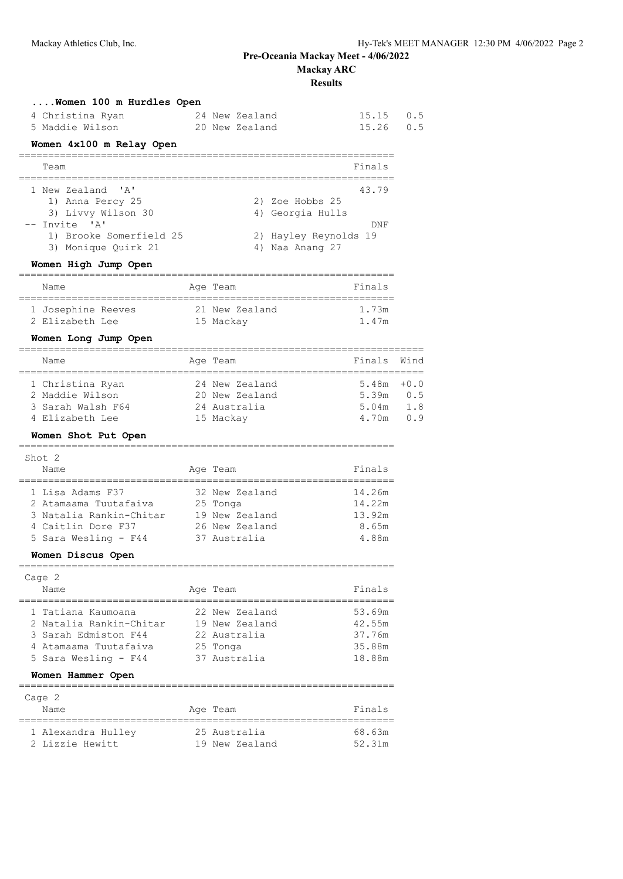**Results**

| Women 100 m Hurdles Open<br>4 Christina Ryan<br>5 Maddie Wilson                                                                   |             | 24 New Zealand<br>20 New Zealand                                             | 15.15<br>15.26                                 | 0.5<br>0.5                  |
|-----------------------------------------------------------------------------------------------------------------------------------|-------------|------------------------------------------------------------------------------|------------------------------------------------|-----------------------------|
| Women 4x100 m Relay Open                                                                                                          |             |                                                                              |                                                |                             |
| Team                                                                                                                              |             |                                                                              | Finals                                         |                             |
| 1 New Zealand<br>'A'                                                                                                              |             |                                                                              | 43.79                                          |                             |
| 1) Anna Percy 25<br>3) Livvy Wilson 30<br>-- Invite 'A'                                                                           |             | 2) Zoe Hobbs 25<br>4) Georgia Hulls                                          | DNF                                            |                             |
| 1) Brooke Somerfield 25<br>3) Monique Quirk 21                                                                                    |             | 2) Hayley Reynolds 19<br>4) Naa Anang 27                                     |                                                |                             |
| Women High Jump Open                                                                                                              |             |                                                                              |                                                |                             |
| Name                                                                                                                              |             | Age Team                                                                     | Finals                                         |                             |
| 1 Josephine Reeves<br>2 Elizabeth Lee                                                                                             |             | 21 New Zealand<br>15 Mackay                                                  | 1.73m<br>1.47m                                 |                             |
| Women Long Jump Open<br>-------------------------------------                                                                     |             |                                                                              |                                                |                             |
| Name                                                                                                                              |             | Age Team                                                                     | Finals                                         | Wind                        |
| 1 Christina Ryan<br>2 Maddie Wilson<br>3 Sarah Walsh F64<br>4 Elizabeth Lee                                                       |             | 24 New Zealand<br>20 New Zealand<br>24 Australia<br>15 Mackay                | 5.48m<br>5.39m<br>5.04m<br>4.70m               | $+0.0$<br>0.5<br>1.8<br>0.9 |
| Women Shot Put Open                                                                                                               |             |                                                                              |                                                |                             |
| Shot 2                                                                                                                            |             |                                                                              |                                                |                             |
| Name                                                                                                                              |             | Age Team                                                                     | Finals                                         |                             |
| 1 Lisa Adams F37<br>2 Atamaama Tuutafaiva<br>3 Natalia Rankin-Chitar 19 New Zealand<br>4 Caitlin Dore F37<br>5 Sara Wesling - F44 |             | 32 New Zealand<br>25 Tonga<br>26 New Zealand<br>37 Australia                 | 14.26m<br>14.22m<br>13.92m<br>8.65m<br>4.88m   |                             |
| Women Discus Open                                                                                                                 |             |                                                                              |                                                |                             |
| Cage $2$                                                                                                                          |             |                                                                              |                                                |                             |
| Name                                                                                                                              |             | Age Team                                                                     | Finals                                         |                             |
| 1 Tatiana Kaumoana<br>2 Natalia Rankin-Chitar<br>3 Sarah Edmiston F44<br>4 Atamaama Tuutafaiva<br>5 Sara Wesling - F44            |             | 22 New Zealand<br>19 New Zealand<br>22 Australia<br>25 Tonga<br>37 Australia | 53.69m<br>42.55m<br>37.76m<br>35.88m<br>18.88m |                             |
| Women Hammer Open                                                                                                                 |             |                                                                              |                                                |                             |
| Cage 2                                                                                                                            |             |                                                                              |                                                |                             |
| Name                                                                                                                              | =========== | Age Team                                                                     | Finals<br>=========                            |                             |
| 1 Alexandra Hulley<br>2 Lizzie Hewitt                                                                                             |             | 25 Australia<br>19 New Zealand                                               | 68.63m<br>52.31m                               |                             |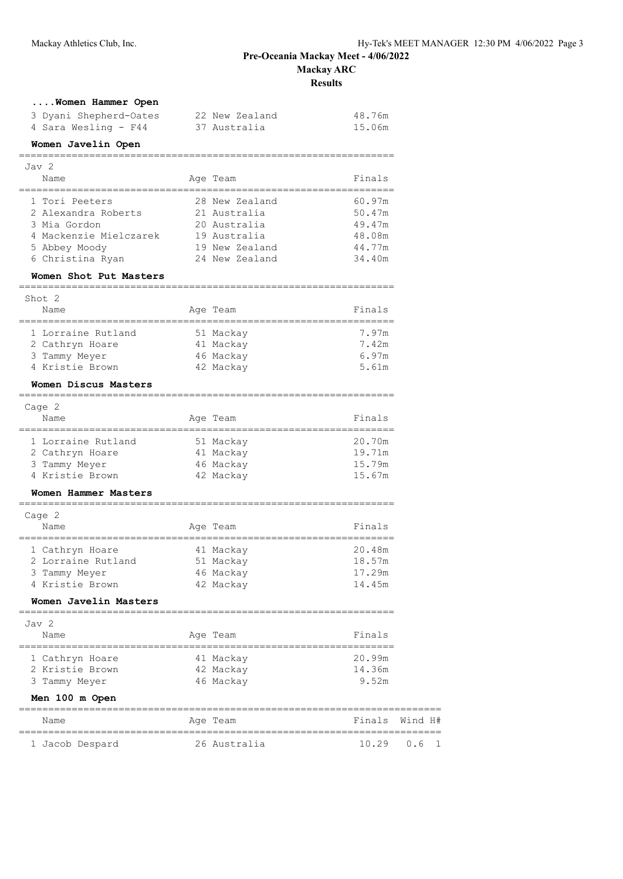**Results**

|  |  |  |  |  | Women Hammer Open |  |
|--|--|--|--|--|-------------------|--|
|--|--|--|--|--|-------------------|--|

| 3 Dyani Shepherd-Oates | 22 New Zealand | 48.76m |
|------------------------|----------------|--------|
| 4 Sara Wesling - F44   | 37 Australia   | 15.06m |

================================================================

#### **Women Javelin Open**

| Jav 2                  |  |                |        |  |  |
|------------------------|--|----------------|--------|--|--|
| Name                   |  | Age Team       | Finals |  |  |
|                        |  |                |        |  |  |
| 1 Tori Peeters         |  | 28 New Zealand | 60.97m |  |  |
| 2 Alexandra Roberts    |  | 21 Australia   | 50.47m |  |  |
| 3 Mia Gordon           |  | 20 Australia   | 49.47m |  |  |
| 4 Mackenzie Mielczarek |  | 19 Australia   | 48.08m |  |  |
| 5 Abbey Moody          |  | 19 New Zealand | 44.77m |  |  |
| 6 Christina Ryan       |  | 24 New Zealand | 34.40m |  |  |

#### **Women Shot Put Masters**

| Shot <sub>2</sub>  |           |        |
|--------------------|-----------|--------|
| Name               | Age Team  | Finals |
| 1 Lorraine Rutland | 51 Mackay | 7.97m  |
| 2 Cathryn Hoare    | 41 Mackay | 7.42m  |
| 3 Tammy Meyer      | 46 Mackay | 6.97m  |
| 4 Kristie Brown    | 42 Mackay | 5.61m  |

================================================================

================================================================

#### **Women Discus Masters**

| Cage 2 |                    |  |           |        |  |
|--------|--------------------|--|-----------|--------|--|
|        | Name               |  | Age Team  | Finals |  |
|        | 1 Lorraine Rutland |  | 51 Mackay | 20.70m |  |
|        | 2 Cathryn Hoare    |  | 41 Mackay | 19.71m |  |
|        | 3 Tammy Meyer      |  | 46 Mackay | 15.79m |  |

# 4 Kristie Brown 42 Mackay 15.67m

#### **Women Hammer Masters** ================================================================

| Cage 2             |  |           |        |  |  |
|--------------------|--|-----------|--------|--|--|
| Name               |  | Age Team  | Finals |  |  |
| 1 Cathryn Hoare    |  | 41 Mackay | 20.48m |  |  |
| 2 Lorraine Rutland |  | 51 Mackay | 18.57m |  |  |
| 3 Tammy Meyer      |  | 46 Mackay | 17.29m |  |  |
| 4 Kristie Brown    |  | 42 Mackay | 14.45m |  |  |

#### **Women Javelin Masters**

| Jav 2 |          |        |
|-------|----------|--------|
| Name  | Age Team | Finals |

| 1 Cathryn Hoare | 41 Mackay    | 20.99m           |
|-----------------|--------------|------------------|
| 2 Kristie Brown | 42 Mackay    | 14.36m           |
| 3 Tammy Meyer   | 46 Mackay    | 9.52m            |
| Men 100 m Open  |              |                  |
| Name            | Age Team     | Finals Wind H#   |
| 1 Jacob Despard | 26 Australia | 10.29<br>$0.6-1$ |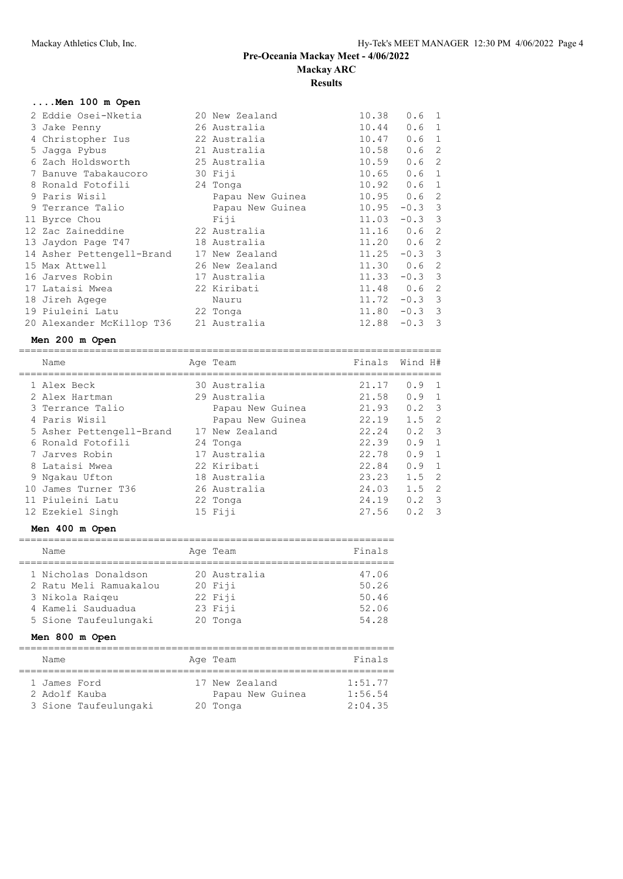#### **Results**

========================================================================

| 2 Eddie Osei-Nketia       | 20 New Zealand   | 10.38          | 0.6              | -1            |
|---------------------------|------------------|----------------|------------------|---------------|
| 3 Jake Penny              | 26 Australia     | 10.44          | 0.6              | 1             |
| 4 Christopher Ius         | 22 Australia     | 10.47          | 0.6              | $\mathbf{1}$  |
| 5 Jaqqa Pybus             | 21 Australia     | 10.58          | 0.6              | $\mathcal{L}$ |
| 6 Zach Holdsworth         | 25 Australia     | 10.59          | 0.6 <sub>2</sub> |               |
| 7 Banuve Tabakaucoro      | 30 Fiji          | 10.65          | 0.6              | 1             |
| 8 Ronald Fotofili         | 24 Tonga         | 10.92          | 0.6              | $\mathbf{1}$  |
| 9 Paris Wisil             | Papau New Guinea | 10.95          | 0.6              | 2             |
| 9 Terrance Talio          | Papau New Guinea | 10.95          | $-0.3$           | -3            |
| 11 Byrce Chou             | Fiji             | 11.03          | $-0.3$ 3         |               |
| 12 Zac Zaineddine         | 22 Australia     | $11.16$ 0.6    |                  | 2             |
| 13 Jaydon Page T47        | 18 Australia     | $11.20 \t 0.6$ |                  | 2             |
| 14 Asher Pettengell-Brand | 17 New Zealand   | 11.25          | $-0.3$ 3         |               |
| 15 Max Attwell            | 26 New Zealand   | 11.30 0.6      |                  | 2             |
| 16 Jarves Robin           | 17 Australia     | 11.33          | $-0.3$ 3         |               |
| 17 Lataisi Mwea           | 22 Kiribati      | 11.48 0.6      |                  | -2            |
| 18 Jireh Agege            | Nauru            |                | $11.72 - 0.3$ 3  |               |
| 19 Piuleini Latu          | 22 Tonga         | 11.80          | $-0.3$ 3         |               |
| 20 Alexander McKillop T36 | 21 Australia     | 12.88          | $-0.3$ 3         |               |

#### **Men 200 m Open**

| Name                     | Age Team         |       | Finals Wind H#                  |     |
|--------------------------|------------------|-------|---------------------------------|-----|
| 1 Alex Beck              | 30 Australia     | 21.17 | 0.9<br>$\overline{1}$           |     |
| 2 Alex Hartman           | 29 Australia     | 21.58 | $0.9 \quad 1$                   |     |
| 3 Terrance Talio         | Papau New Guinea | 21.93 | $0.2 \quad 3$                   |     |
| 4 Paris Wisil            | Papau New Guinea | 22.19 | $1.5 \quad 2$                   |     |
| 5 Asher Pettengell-Brand | 17 New Zealand   | 22.24 | $0.2 \quad 3$                   |     |
| 6 Ronald Fotofili        | 24 Tonga         | 22.39 | $0.9 \quad 1$                   |     |
| 7 Jarves Robin           | 17 Australia     | 22.78 | $0.9 \quad 1$                   |     |
| 8 Lataisi Mwea           | 22 Kiribati      | 22.84 | $0.9 \quad 1$                   |     |
| 9 Ngakau Ufton           | 18 Australia     | 23.23 | $1.5 \quad 2$                   |     |
| 10 James Turner T36      | 26 Australia     | 24.03 | $1.5 \quad 2$                   |     |
| 11 Piuleini Latu         | 22 Tonga         | 24.19 | 0.2<br>$\overline{\phantom{a}}$ |     |
| 12 Ezekiel Singh         | 15 Fiji          | 27.56 | 0.2                             | - 3 |

## **Men 400 m Open**

| Name                                                                                                             | Age Team                                                    | Finals                                    |
|------------------------------------------------------------------------------------------------------------------|-------------------------------------------------------------|-------------------------------------------|
| 1 Nicholas Donaldson<br>2 Ratu Meli Ramuakalou<br>3 Nikola Raigeu<br>4 Kameli Sauduadua<br>5 Sione Taufeulungaki | 20 Australia<br>$20$ Fiji<br>22 Fiji<br>23 Fiji<br>20 Tonga | 47.06<br>50.26<br>50.46<br>52.06<br>54.28 |

# **Men 800 m Open**

| Name                                                   | Age Team                                       | Finals                        |
|--------------------------------------------------------|------------------------------------------------|-------------------------------|
| 1 James Ford<br>2 Adolf Kauba<br>3 Sione Taufeulungaki | 17 New Zealand<br>Papau New Guinea<br>20 Tonga | 1:51.77<br>1:56.54<br>2:04.35 |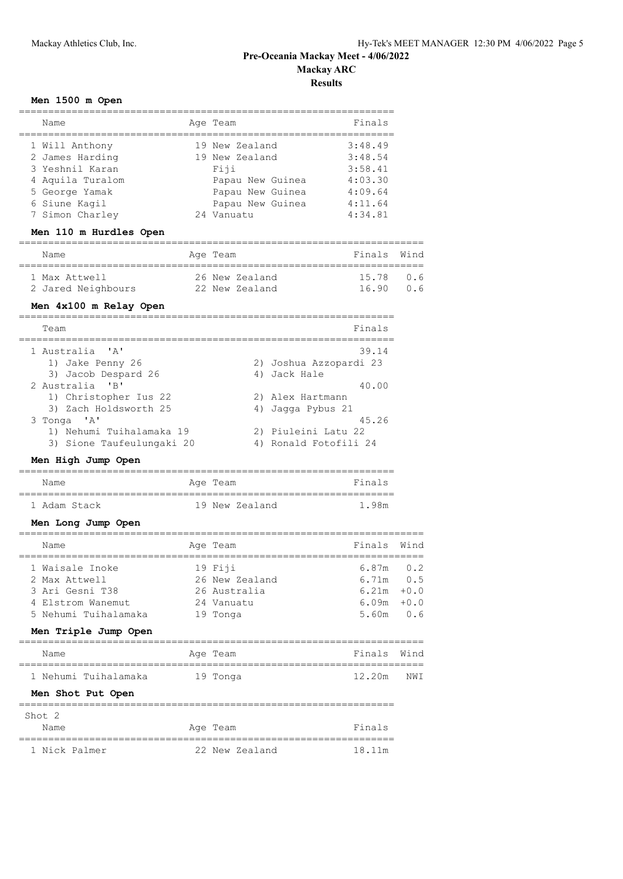**Results**

## **Men 1500 m Open**

| Name                                                  | Age Team                                 | Finals  |        |
|-------------------------------------------------------|------------------------------------------|---------|--------|
| 1 Will Anthony                                        | 19 New Zealand                           | 3:48.49 |        |
| 2 James Harding                                       | 19 New Zealand                           | 3:48.54 |        |
| 3 Yeshnil Karan                                       | Fiji                                     | 3:58.41 |        |
| 4 Aquila Turalom                                      | Papau New Guinea                         | 4:03.30 |        |
| 5 George Yamak                                        | Papau New Guinea                         | 4:09.64 |        |
| 6 Siune Kagil                                         | Papau New Guinea                         | 4:11.64 |        |
| 7 Simon Charley                                       | 24 Vanuatu                               | 4:34.81 |        |
| Men 110 m Hurdles Open<br>=========================== |                                          |         |        |
| Name<br>============                                  | Age Team                                 | Finals  | Wind   |
| 1 Max Attwell                                         | 26 New Zealand                           | 15.78   | 0.6    |
| 2 Jared Neighbours                                    | 22 New Zealand                           | 16.90   | 0.6    |
| Men 4x100 m Relay Open<br>======                      |                                          |         |        |
| Team<br>==========                                    | ================================         | Finals  |        |
| 1 Australia<br>$^{\prime}$ A $^{\prime}$              |                                          | 39.14   |        |
| 1) Jake Penny 26                                      | 2) Joshua Azzopardi 23                   |         |        |
| 3) Jacob Despard 26                                   | 4) Jack Hale                             |         |        |
| 2 Australia<br>"B"                                    |                                          | 40.00   |        |
| 1) Christopher Ius 22<br>3) Zach Holdsworth 25        | 2) Alex Hartmann<br>Jagga Pybus 21<br>4) |         |        |
| 3 Tonga 'A'                                           |                                          | 45.26   |        |
| 1) Nehumi Tuihalamaka 19                              | 2) Piuleini Latu 22                      |         |        |
| 3) Sione Taufeulungaki 20                             | 4) Ronald Fotofili 24                    |         |        |
| Men High Jump Open                                    |                                          |         |        |
| Name                                                  | Age Team                                 | Finals  |        |
| 1 Adam Stack                                          | 19 New Zealand                           | 1.98m   |        |
| Men Long Jump Open                                    |                                          |         |        |
| Name                                                  | Age Team                                 | Finals  | Wind   |
| 1 Waisale Inoke                                       | 19 Fiji                                  | 6.87m   | 0.2    |
| 2 Max Attwell                                         | 26 New Zealand                           | 6.71m   | 0.5    |
| 3 Ari Gesni T38                                       | 26 Australia                             | 6.21m   | $+0.0$ |
| 4 Elstrom Wanemut                                     | 24 Vanuatu                               | 6.09m   | $+0.0$ |
| 5 Nehumi Tuihalamaka                                  | 19 Tonga                                 | 5.60m   | 0.6    |
| Men Triple Jump Open                                  |                                          |         |        |
| Name                                                  | Age Team                                 | Finals  | Wind   |
| 1 Nehumi Tuihalamaka                                  | 19 Tonga                                 | 12.20m  | NWI    |
| Men Shot Put Open                                     |                                          |         |        |
| ===============<br>Shot 2                             | ==========================               |         |        |

Name Research Age Team Research Pinals ================================================================ 1 Nick Palmer 22 New Zealand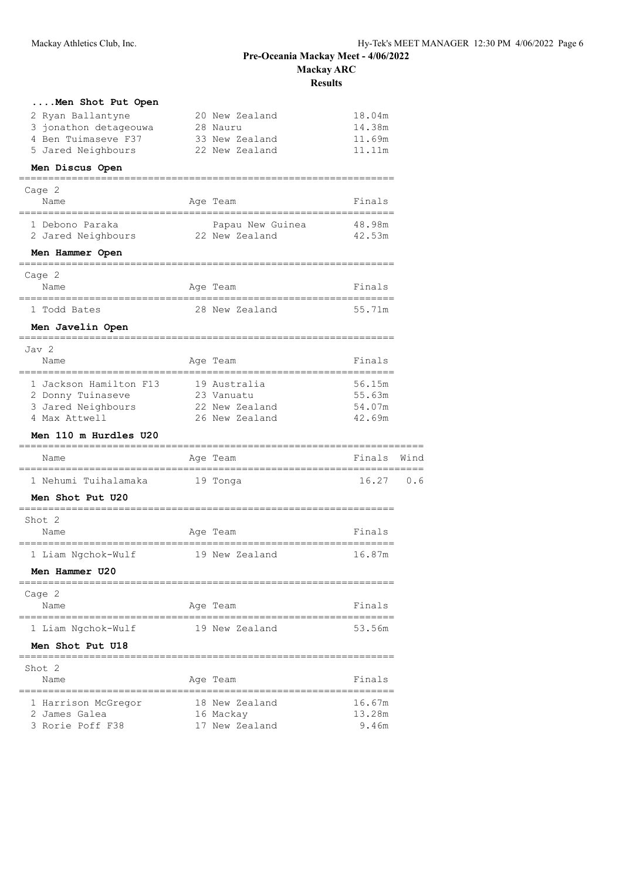**Results**

| Men Shot Put Open            |                  |        |      |
|------------------------------|------------------|--------|------|
| 2 Ryan Ballantyne            | 20 New Zealand   | 18.04m |      |
| 3 jonathon detageouwa        | 28 Nauru         | 14.38m |      |
| 4 Ben Tuimaseve F37          | 33 New Zealand   | 11.69m |      |
| 5 Jared Neighbours           | 22 New Zealand   | 11.11m |      |
| Men Discus Open              |                  |        |      |
| Cage 2                       |                  |        |      |
| Name                         | Age Team         | Finals |      |
| 1 Debono Paraka              | Papau New Guinea | 48.98m |      |
| 2 Jared Neighbours           | 22 New Zealand   | 42.53m |      |
| Men Hammer Open<br>========= |                  |        |      |
| Cage 2                       |                  |        |      |
| Name                         | Age Team         | Finals |      |
| 1 Todd Bates                 | 28 New Zealand   | 55.71m |      |
| Men Javelin Open             |                  |        |      |
| Jav 2                        |                  |        |      |
| Name                         | Age Team         | Finals |      |
| 1 Jackson Hamilton F13       | 19 Australia     | 56.15m |      |
| 2 Donny Tuinaseve            | 23 Vanuatu       | 55.63m |      |
| 3 Jared Neighbours           | 22 New Zealand   | 54.07m |      |
| 4 Max Attwell                | 26 New Zealand   | 42.69m |      |
| <b>Men 110 m Hurdles U20</b> |                  |        |      |
| Name                         | Age Team         | Finals | Wind |
| 1 Nehumi Tuihalamaka         | 19 Tonga         | 16.27  | 0.6  |
| Men Shot Put U20             |                  |        |      |
| Shot 2                       |                  |        |      |
| Name                         | Age Team         | Finals |      |
| 1 Liam Ngchok-Wulf           | 19 New Zealand   | 16.87m |      |
| Men Hammer U20               |                  |        |      |
| Cage 2                       |                  |        |      |
| Name                         | Age Team         | Finals |      |
| 1 Liam Ngchok-Wulf           | 19 New Zealand   | 53.56m |      |
| Men Shot Put U18             |                  |        |      |
| Shot 2                       |                  |        |      |
| Name                         | Age Team         | Finals |      |
| 1 Harrison McGregor          | 18 New Zealand   | 16.67m |      |
| 2 James Galea                | 16 Mackay        | 13.28m |      |
| 3 Rorie Poff F38             | 17 New Zealand   | 9.46m  |      |